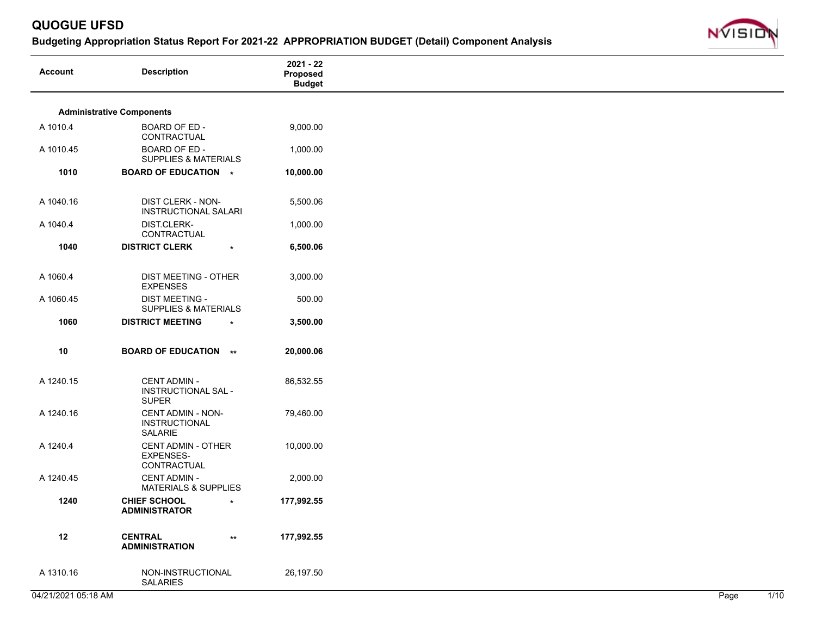

| <b>Account</b> | <b>Description</b>                                           | $2021 - 22$<br>Proposed<br><b>Budget</b> |
|----------------|--------------------------------------------------------------|------------------------------------------|
|                | <b>Administrative Components</b>                             |                                          |
| A 1010.4       | BOARD OF ED -<br>CONTRACTUAL                                 | 9,000.00                                 |
| A 1010.45      | BOARD OF ED -<br>SUPPLIES & MATERIALS                        | 1,000.00                                 |
| 1010           | <b>BOARD OF EDUCATION *</b>                                  | 10,000.00                                |
| A 1040.16      | <b>DIST CLERK - NON-</b><br><b>INSTRUCTIONAL SALARI</b>      | 5,500.06                                 |
| A 1040.4       | DIST.CLERK-<br>CONTRACTUAL                                   | 1,000.00                                 |
| 1040           | <b>DISTRICT CLERK</b><br>$\star$                             | 6,500.06                                 |
| A 1060.4       | DIST MEETING - OTHER<br><b>EXPENSES</b>                      | 3,000.00                                 |
| A 1060.45      | <b>DIST MEETING -</b><br><b>SUPPLIES &amp; MATERIALS</b>     | 500.00                                   |
| 1060           | <b>DISTRICT MEETING</b><br>$\star$                           | 3,500.00                                 |
| 10             | <b>BOARD OF EDUCATION **</b>                                 | 20,000.06                                |
| A 1240.15      | <b>CENT ADMIN -</b><br>INSTRUCTIONAL SAL -<br><b>SUPER</b>   | 86,532.55                                |
| A 1240.16      | <b>CENT ADMIN - NON-</b><br><b>INSTRUCTIONAL</b><br>SALARIE  | 79,460.00                                |
| A 1240.4       | <b>CENT ADMIN - OTHER</b><br><b>EXPENSES-</b><br>CONTRACTUAL | 10,000.00                                |
| A 1240.45      | <b>CENT ADMIN -</b><br><b>MATERIALS &amp; SUPPLIES</b>       | 2,000.00                                 |
| 1240           | <b>CHIEF SCHOOL</b><br>$\star$<br><b>ADMINISTRATOR</b>       | 177,992.55                               |
| 12             | <b>CENTRAL</b><br>$^{\star\star}$<br><b>ADMINISTRATION</b>   | 177,992.55                               |
| A 1310.16      | NON-INSTRUCTIONAL<br><b>SALARIES</b>                         | 26,197.50                                |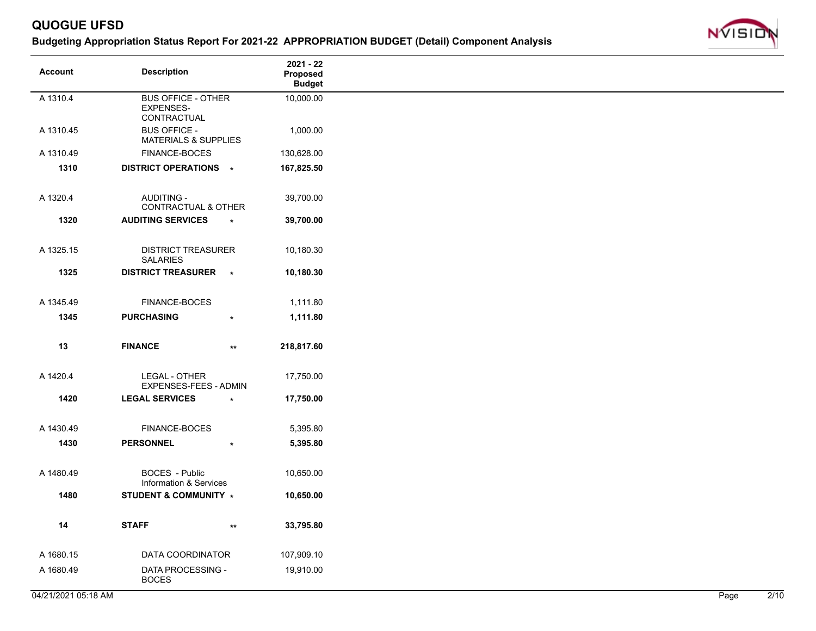

| <b>Account</b> | <b>Description</b>                                     |                 | $2021 - 22$<br>Proposed<br><b>Budget</b> |
|----------------|--------------------------------------------------------|-----------------|------------------------------------------|
| A 1310.4       | <b>BUS OFFICE - OTHER</b><br>EXPENSES-<br>CONTRACTUAL  |                 | 10,000.00                                |
| A 1310.45      | <b>BUS OFFICE -</b><br><b>MATERIALS &amp; SUPPLIES</b> |                 | 1,000.00                                 |
| A 1310.49      | FINANCE-BOCES                                          |                 | 130,628.00                               |
| 1310           | DISTRICT OPERATIONS *                                  |                 | 167,825.50                               |
| A 1320.4       | AUDITING -<br>CONTRACTUAL & OTHER                      |                 | 39,700.00                                |
| 1320           | <b>AUDITING SERVICES</b>                               | $\star$         | 39,700.00                                |
| A 1325.15      | <b>DISTRICT TREASURER</b><br><b>SALARIES</b>           |                 | 10,180.30                                |
| 1325           | <b>DISTRICT TREASURER</b>                              | $\rightarrow$   | 10,180.30                                |
| A 1345.49      | FINANCE-BOCES                                          |                 | 1,111.80                                 |
| 1345           | <b>PURCHASING</b>                                      | $\star$         | 1,111.80                                 |
| 13             | <b>FINANCE</b>                                         | $^{\star\star}$ | 218,817.60                               |
| A 1420.4       | LEGAL - OTHER<br>EXPENSES-FEES - ADMIN                 |                 | 17,750.00                                |
| 1420           | <b>LEGAL SERVICES</b>                                  | $\star$         | 17,750.00                                |
| A 1430.49      | FINANCE-BOCES                                          |                 | 5,395.80                                 |
| 1430           | <b>PERSONNEL</b>                                       | $\star$         | 5,395.80                                 |
| A 1480.49      | BOCES - Public<br>Information & Services               |                 | 10,650.00                                |
| 1480           | <b>STUDENT &amp; COMMUNITY *</b>                       |                 | 10,650.00                                |
| 14             | <b>STAFF</b>                                           | $^{\star\star}$ | 33,795.80                                |
| A 1680.15      | DATA COORDINATOR                                       |                 | 107,909.10                               |
| A 1680.49      | DATA PROCESSING -<br><b>BOCES</b>                      |                 | 19,910.00                                |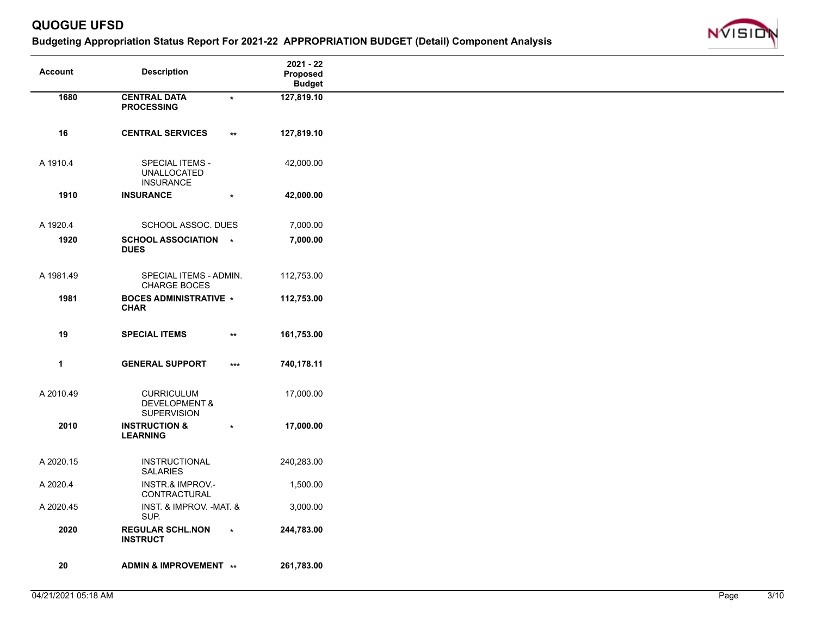

| Account      | <b>Description</b>                                                  |                   | $2021 - 22$<br>Proposed<br><b>Budget</b> |
|--------------|---------------------------------------------------------------------|-------------------|------------------------------------------|
| 1680         | <b>CENTRAL DATA</b><br><b>PROCESSING</b>                            | $\star$           | 127,819.10                               |
| 16           | <b>CENTRAL SERVICES</b>                                             | $\star\star$      | 127,819.10                               |
| A 1910.4     | <b>SPECIAL ITEMS -</b><br><b>UNALLOCATED</b><br><b>INSURANCE</b>    |                   | 42,000.00                                |
| 1910         | <b>INSURANCE</b>                                                    |                   | 42,000.00                                |
| A 1920.4     | SCHOOL ASSOC. DUES                                                  |                   | 7,000.00                                 |
| 1920         | SCHOOL ASSOCIATION *<br><b>DUES</b>                                 |                   | 7,000.00                                 |
| A 1981.49    | SPECIAL ITEMS - ADMIN.<br>CHARGE BOCES                              |                   | 112,753.00                               |
| 1981         | <b>BOCES ADMINISTRATIVE *</b><br><b>CHAR</b>                        |                   | 112,753.00                               |
| 19           | <b>SPECIAL ITEMS</b>                                                | $\star\star$      | 161,753.00                               |
| $\mathbf{1}$ | <b>GENERAL SUPPORT</b>                                              | $\star\star\star$ | 740,178.11                               |
| A 2010.49    | <b>CURRICULUM</b><br><b>DEVELOPMENT &amp;</b><br><b>SUPERVISION</b> |                   | 17,000.00                                |
| 2010         | <b>INSTRUCTION &amp;</b><br><b>LEARNING</b>                         | $\star$           | 17,000.00                                |
| A 2020.15    | INSTRUCTIONAL<br><b>SALARIES</b>                                    |                   | 240,283.00                               |
| A 2020.4     | <b>INSTR.&amp; IMPROV.-</b><br>CONTRACTURAL                         |                   | 1,500.00                                 |
| A 2020.45    | INST. & IMPROV. - MAT. &<br>SUP.                                    |                   | 3,000.00                                 |
| 2020         | <b>REGULAR SCHL.NON</b><br><b>INSTRUCT</b>                          | $\star$           | 244,783.00                               |
| ${\bf 20}$   | ADMIN & IMPROVEMENT **                                              |                   | 261,783.00                               |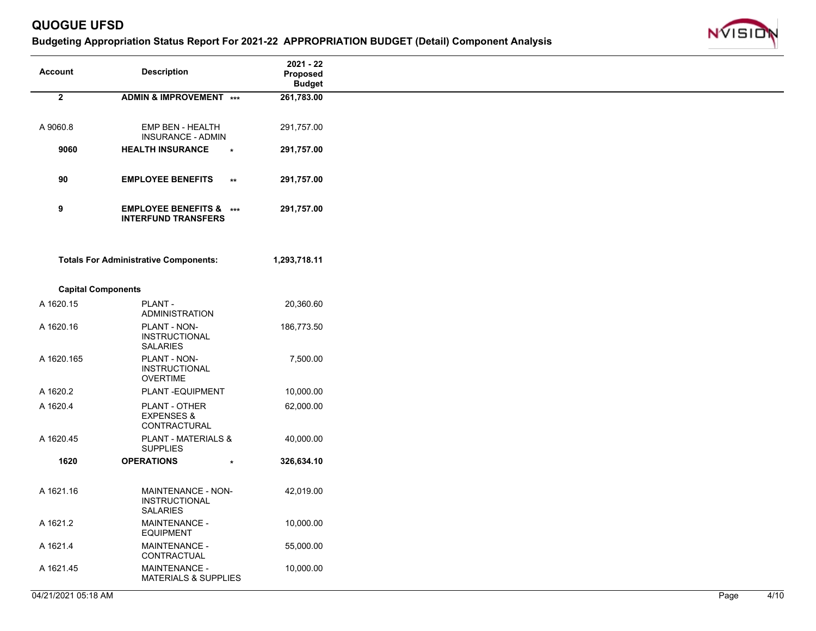

| Account                   | <b>Description</b>                                               |              | $2021 - 22$<br>Proposed<br><b>Budget</b> |
|---------------------------|------------------------------------------------------------------|--------------|------------------------------------------|
|                           |                                                                  |              |                                          |
| $\mathbf{2}$              | ADMIN & IMPROVEMENT ***                                          |              | 261,783.00                               |
|                           |                                                                  |              |                                          |
| A 9060.8                  | EMP BEN - HEALTH                                                 |              | 291,757.00                               |
|                           | INSURANCE - ADMIN                                                |              |                                          |
| 9060                      | <b>HEALTH INSURANCE</b>                                          | $\star$      | 291,757.00                               |
|                           |                                                                  |              |                                          |
| 90                        | <b>EMPLOYEE BENEFITS</b>                                         | $\star\star$ | 291,757.00                               |
|                           |                                                                  |              |                                          |
| 9                         | <b>EMPLOYEE BENEFITS &amp; ***</b><br><b>INTERFUND TRANSFERS</b> |              | 291,757.00                               |
|                           |                                                                  |              |                                          |
|                           | <b>Totals For Administrative Components:</b>                     |              | 1,293,718.11                             |
|                           |                                                                  |              |                                          |
| <b>Capital Components</b> |                                                                  |              |                                          |
| A 1620.15                 |                                                                  |              | 20,360.60                                |
|                           | PLANT -<br>ADMINISTRATION                                        |              |                                          |
| A 1620.16                 | PLANT - NON-                                                     |              | 186,773.50                               |
|                           | <b>INSTRUCTIONAL</b>                                             |              |                                          |
|                           | <b>SALARIES</b>                                                  |              |                                          |
| A 1620.165                | PLANT - NON-                                                     |              | 7,500.00                                 |
|                           | <b>INSTRUCTIONAL</b><br><b>OVERTIME</b>                          |              |                                          |
| A 1620.2                  | PLANT-EQUIPMENT                                                  |              | 10,000.00                                |
| A 1620.4                  | PLANT - OTHER                                                    |              |                                          |
|                           | <b>EXPENSES &amp;</b>                                            |              | 62,000.00                                |
|                           | CONTRACTURAL                                                     |              |                                          |
| A 1620.45                 | <b>PLANT - MATERIALS &amp;</b>                                   |              | 40,000.00                                |
|                           | <b>SUPPLIES</b>                                                  |              |                                          |
| 1620                      | <b>OPERATIONS</b>                                                |              | 326,634.10                               |
|                           |                                                                  |              |                                          |
| A 1621.16                 | MAINTENANCE - NON-                                               |              | 42,019.00                                |
|                           | <b>INSTRUCTIONAL</b>                                             |              |                                          |
|                           | <b>SALARIES</b>                                                  |              |                                          |
| A 1621.2                  | <b>MAINTENANCE -</b><br><b>EQUIPMENT</b>                         |              | 10,000.00                                |
| A 1621.4                  | <b>MAINTENANCE -</b>                                             |              | 55,000.00                                |
|                           | CONTRACTUAL                                                      |              |                                          |
| A 1621.45                 | MAINTENANCE -                                                    |              | 10,000.00                                |
|                           | <b>MATERIALS &amp; SUPPLIES</b>                                  |              |                                          |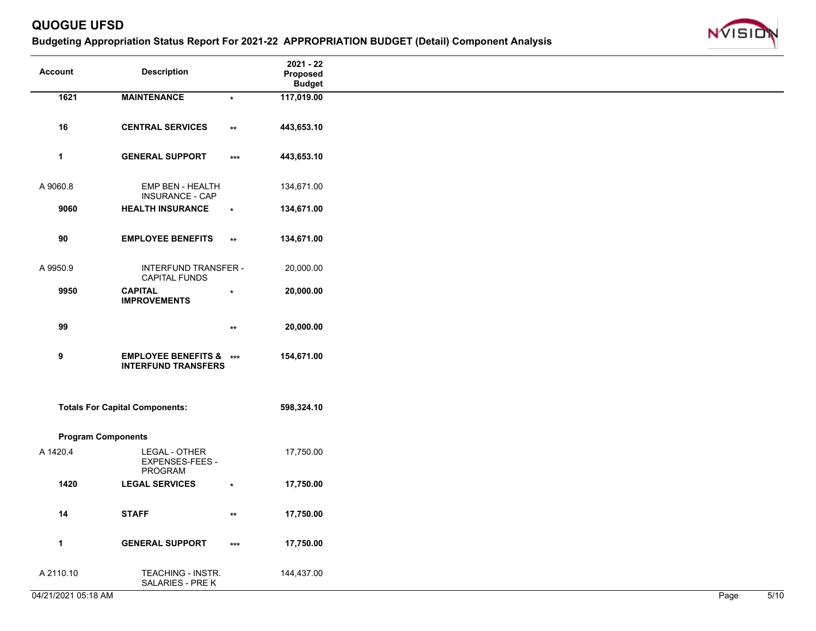

| <b>Account</b>            | <b>Description</b>                         |                 | $2021 - 22$<br>Proposed<br><b>Budget</b> |
|---------------------------|--------------------------------------------|-----------------|------------------------------------------|
| 1621                      | <b>MAINTENANCE</b>                         | $\star$         | 117,019.00                               |
|                           |                                            |                 |                                          |
| 16                        | <b>CENTRAL SERVICES</b>                    | $\star\star$    | 443,653.10                               |
|                           |                                            |                 |                                          |
| $\mathbf{1}$              | <b>GENERAL SUPPORT</b>                     | $***$           | 443,653.10                               |
|                           |                                            |                 |                                          |
| A 9060.8                  | EMP BEN - HEALTH<br><b>INSURANCE - CAP</b> |                 | 134,671.00                               |
| 9060                      | <b>HEALTH INSURANCE</b>                    | $\star$         | 134,671.00                               |
|                           |                                            |                 |                                          |
| 90                        | <b>EMPLOYEE BENEFITS</b>                   | $^{\star\star}$ | 134,671.00                               |
|                           |                                            |                 |                                          |
| A 9950.9                  | <b>INTERFUND TRANSFER -</b>                |                 | 20,000.00                                |
|                           | <b>CAPITAL FUNDS</b>                       |                 |                                          |
| 9950                      | <b>CAPITAL</b><br><b>IMPROVEMENTS</b>      | $\star$         | 20,000.00                                |
|                           |                                            |                 |                                          |
| 99                        |                                            | $^{\star\star}$ | 20,000.00                                |
|                           |                                            |                 |                                          |
| $\boldsymbol{9}$          | <b>EMPLOYEE BENEFITS &amp; ***</b>         |                 | 154,671.00                               |
|                           | <b>INTERFUND TRANSFERS</b>                 |                 |                                          |
|                           |                                            |                 |                                          |
|                           | <b>Totals For Capital Components:</b>      |                 | 598,324.10                               |
|                           |                                            |                 |                                          |
| <b>Program Components</b> |                                            |                 |                                          |
|                           |                                            |                 |                                          |
| A 1420.4                  | LEGAL - OTHER<br>EXPENSES-FEES -           |                 | 17,750.00                                |
|                           | PROGRAM                                    |                 |                                          |
| 1420                      | <b>LEGAL SERVICES</b>                      | $\star$         | 17,750.00                                |
|                           |                                            |                 |                                          |
| 14                        | <b>STAFF</b>                               | $\star\star$    | 17,750.00                                |
|                           |                                            |                 |                                          |
| $\mathbf{1}$              | <b>GENERAL SUPPORT</b>                     | $***$           | 17,750.00                                |
|                           |                                            |                 |                                          |
| A 2110.10                 | TEACHING - INSTR.<br>SALARIES - PRE K      |                 | 144,437.00                               |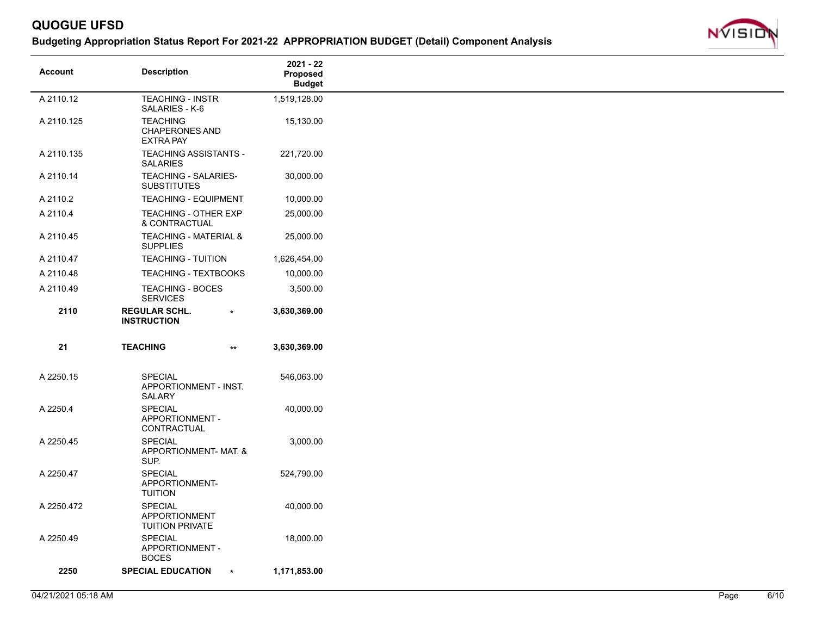

| <b>Account</b> | <b>Description</b>                                       | 2021 - 22<br>Proposed<br><b>Budget</b> |
|----------------|----------------------------------------------------------|----------------------------------------|
| A 2110.12      | <b>TEACHING - INSTR</b><br>SALARIES - K-6                | 1,519,128.00                           |
| A 2110.125     | <b>TEACHING</b><br>CHAPERONES AND<br><b>EXTRA PAY</b>    | 15,130.00                              |
| A 2110.135     | <b>TEACHING ASSISTANTS -</b><br><b>SALARIES</b>          | 221,720.00                             |
| A 2110.14      | TEACHING - SALARIES-<br><b>SUBSTITUTES</b>               | 30,000.00                              |
| A 2110.2       | <b>TEACHING - EQUIPMENT</b>                              | 10,000.00                              |
| A 2110.4       | TEACHING - OTHER EXP<br>& CONTRACTUAL                    | 25,000.00                              |
| A 2110.45      | <b>TEACHING - MATERIAL &amp;</b><br><b>SUPPLIES</b>      | 25,000.00                              |
| A 2110.47      | <b>TEACHING - TUITION</b>                                | 1,626,454.00                           |
| A 2110.48      | <b>TEACHING - TEXTBOOKS</b>                              | 10,000.00                              |
| A 2110.49      | <b>TEACHING - BOCES</b><br><b>SERVICES</b>               | 3,500.00                               |
| 2110           | <b>REGULAR SCHL.</b><br>$\star$<br><b>INSTRUCTION</b>    | 3,630,369.00                           |
| 21             | <b>TEACHING</b><br>$\star\star$                          | 3,630,369.00                           |
| A 2250.15      | <b>SPECIAL</b><br>APPORTIONMENT - INST.<br><b>SALARY</b> | 546,063.00                             |
| A 2250.4       | SPECIAL<br>APPORTIONMENT -<br>CONTRACTUAL                | 40,000.00                              |
| A 2250.45      | <b>SPECIAL</b><br>APPORTIONMENT- MAT. &<br>SUP.          | 3,000.00                               |
| A 2250.47      | <b>SPECIAL</b><br>APPORTIONMENT-<br><b>TUITION</b>       | 524,790.00                             |
| A 2250.472     | <b>SPECIAL</b><br>APPORTIONMENT<br>TUITION PRIVATE       | 40,000.00                              |
| A 2250.49      | <b>SPECIAL</b><br>APPORTIONMENT -<br><b>BOCES</b>        | 18,000.00                              |
| 2250           | <b>SPECIAL EDUCATION</b><br>$\star$                      | 1,171,853.00                           |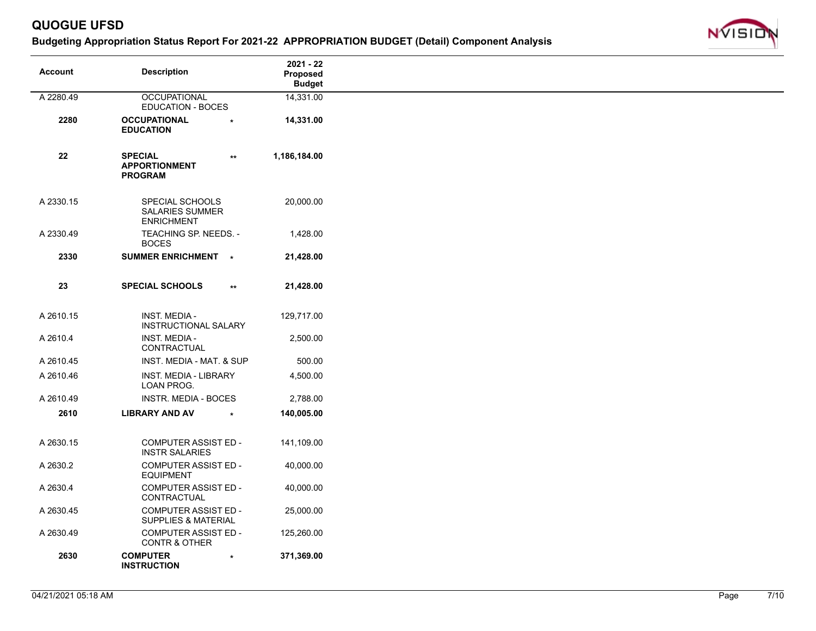

| <b>Account</b> | <b>Description</b>                                             |                 | $2021 - 22$<br>Proposed<br><b>Budget</b> |
|----------------|----------------------------------------------------------------|-----------------|------------------------------------------|
| A 2280.49      | <b>OCCUPATIONAL</b>                                            |                 | 14,331.00                                |
|                | <b>EDUCATION - BOCES</b>                                       |                 |                                          |
| 2280           | <b>OCCUPATIONAL</b><br><b>EDUCATION</b>                        |                 | 14,331.00                                |
| ${\bf 22}$     | <b>SPECIAL</b><br><b>APPORTIONMENT</b><br><b>PROGRAM</b>       | $\star\star$    | 1,186,184.00                             |
| A 2330.15      | SPECIAL SCHOOLS<br><b>SALARIES SUMMER</b><br><b>ENRICHMENT</b> |                 | 20,000.00                                |
| A 2330.49      | TEACHING SP. NEEDS. -<br><b>BOCES</b>                          |                 | 1,428.00                                 |
| 2330           | SUMMER ENRICHMENT *                                            |                 | 21,428.00                                |
| 23             | <b>SPECIAL SCHOOLS</b>                                         | $^{\star\star}$ | 21,428.00                                |
| A 2610.15      | <b>INST. MEDIA -</b><br><b>INSTRUCTIONAL SALARY</b>            |                 | 129,717.00                               |
| A 2610.4       | <b>INST. MEDIA -</b><br>CONTRACTUAL                            |                 | 2,500.00                                 |
| A 2610.45      | INST. MEDIA - MAT. & SUP                                       |                 | 500.00                                   |
| A 2610.46      | INST. MEDIA - LIBRARY<br>LOAN PROG.                            |                 | 4,500.00                                 |
| A 2610.49      | INSTR. MEDIA - BOCES                                           |                 | 2,788.00                                 |
| 2610           | <b>LIBRARY AND AV</b>                                          | $\star$         | 140,005.00                               |
| A 2630.15      | <b>COMPUTER ASSIST ED -</b><br><b>INSTR SALARIES</b>           |                 | 141,109.00                               |
| A 2630.2       | <b>COMPUTER ASSIST ED -</b><br><b>EQUIPMENT</b>                |                 | 40,000.00                                |
| A 2630.4       | <b>COMPUTER ASSIST ED -</b><br>CONTRACTUAL                     |                 | 40,000.00                                |
| A 2630.45      | <b>COMPUTER ASSIST ED -</b><br><b>SUPPLIES &amp; MATERIAL</b>  |                 | 25,000.00                                |
| A 2630.49      | <b>COMPUTER ASSIST ED -</b><br><b>CONTR &amp; OTHER</b>        |                 | 125,260.00                               |
| 2630           | <b>COMPUTER</b><br><b>INSTRUCTION</b>                          | $\star$         | 371,369.00                               |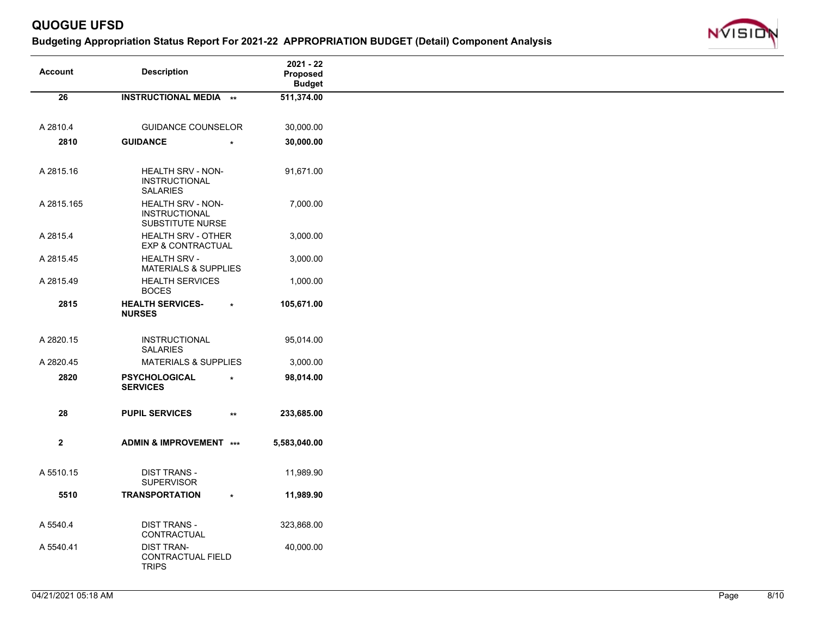

|                 |                                                               |              | 2021 - 22     |
|-----------------|---------------------------------------------------------------|--------------|---------------|
| <b>Account</b>  | <b>Description</b>                                            |              | Proposed      |
|                 |                                                               |              | <b>Budget</b> |
| $\overline{26}$ | <b>INSTRUCTIONAL MEDIA **</b>                                 |              | 511,374.00    |
|                 |                                                               |              |               |
| A 2810.4        | <b>GUIDANCE COUNSELOR</b>                                     |              | 30,000.00     |
| 2810            | <b>GUIDANCE</b>                                               |              | 30,000.00     |
| A 2815.16       | HEALTH SRV - NON-<br><b>INSTRUCTIONAL</b><br><b>SALARIES</b>  |              | 91,671.00     |
| A 2815.165      | HEALTH SRV - NON-<br><b>INSTRUCTIONAL</b><br>SUBSTITUTE NURSE |              | 7,000.00      |
| A 2815.4        | <b>HEALTH SRV - OTHER</b><br><b>EXP &amp; CONTRACTUAL</b>     |              | 3,000.00      |
| A 2815.45       | <b>HEALTH SRV -</b><br><b>MATERIALS &amp; SUPPLIES</b>        |              | 3,000.00      |
| A 2815.49       | <b>HEALTH SERVICES</b><br><b>BOCES</b>                        |              | 1,000.00      |
| 2815            | <b>HEALTH SERVICES-</b><br><b>NURSES</b>                      | $\star$      | 105,671.00    |
| A 2820.15       | INSTRUCTIONAL<br><b>SALARIES</b>                              |              | 95,014.00     |
| A 2820.45       | <b>MATERIALS &amp; SUPPLIES</b>                               |              | 3,000.00      |
| 2820            | <b>PSYCHOLOGICAL</b><br><b>SERVICES</b>                       | $\ast$       | 98,014.00     |
| 28              | <b>PUPIL SERVICES</b>                                         | $\star\star$ | 233,685.00    |
| $\mathbf{2}$    | ADMIN & IMPROVEMENT ***                                       |              | 5,583,040.00  |
| A 5510.15       | <b>DIST TRANS -</b><br>SUPERVISOR                             |              | 11,989.90     |
| 5510            | <b>TRANSPORTATION</b>                                         | $\star$      | 11,989.90     |
| A 5540.4        | <b>DIST TRANS -</b><br>CONTRACTUAL                            |              | 323,868.00    |
| A 5540.41       | <b>DIST TRAN-</b><br>CONTRACTUAL FIELD<br><b>TRIPS</b>        |              | 40,000.00     |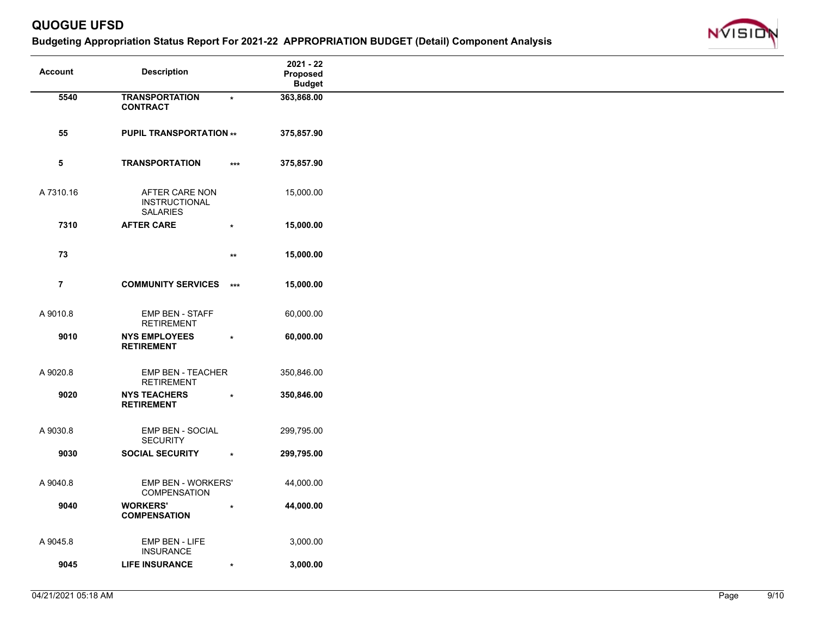

| <b>Account</b> | <b>Description</b>                        |              | $2021 - 22$<br>Proposed<br><b>Budget</b> |
|----------------|-------------------------------------------|--------------|------------------------------------------|
| 5540           | <b>TRANSPORTATION</b>                     |              | 363,868.00                               |
|                | <b>CONTRACT</b>                           | $\star$      |                                          |
|                |                                           |              |                                          |
|                |                                           |              |                                          |
| 55             | <b>PUPIL TRANSPORTATION **</b>            |              | 375,857.90                               |
|                |                                           |              |                                          |
| $\sqrt{5}$     | <b>TRANSPORTATION</b>                     | $***$        | 375,857.90                               |
|                |                                           |              |                                          |
|                |                                           |              |                                          |
| A 7310.16      | AFTER CARE NON                            |              | 15,000.00                                |
|                | <b>INSTRUCTIONAL</b>                      |              |                                          |
|                | <b>SALARIES</b>                           |              |                                          |
| 7310           | <b>AFTER CARE</b>                         | $\star$      | 15,000.00                                |
|                |                                           |              |                                          |
| 73             |                                           | $\star\star$ | 15,000.00                                |
|                |                                           |              |                                          |
|                |                                           |              |                                          |
| $\overline{7}$ | <b>COMMUNITY SERVICES</b> ***             |              | 15,000.00                                |
|                |                                           |              |                                          |
|                |                                           |              |                                          |
| A 9010.8       | EMP BEN - STAFF                           |              | 60,000.00                                |
|                | <b>RETIREMENT</b>                         |              |                                          |
| 9010           | <b>NYS EMPLOYEES</b><br><b>RETIREMENT</b> | $\star$      | 60,000.00                                |
|                |                                           |              |                                          |
|                |                                           |              |                                          |
| A 9020.8       | <b>EMP BEN - TEACHER</b>                  |              | 350,846.00                               |
|                | <b>RETIREMENT</b>                         |              |                                          |
| 9020           | <b>NYS TEACHERS</b>                       | $\star$      | 350,846.00                               |
|                | <b>RETIREMENT</b>                         |              |                                          |
|                |                                           |              |                                          |
| A 9030.8       | <b>EMP BEN - SOCIAL</b>                   |              | 299,795.00                               |
|                | <b>SECURITY</b>                           |              |                                          |
| 9030           | <b>SOCIAL SECURITY</b>                    | $\star$      | 299,795.00                               |
|                |                                           |              |                                          |
|                |                                           |              |                                          |
| A 9040.8       | EMP BEN - WORKERS'<br><b>COMPENSATION</b> |              | 44,000.00                                |
|                |                                           |              |                                          |
| 9040           | <b>WORKERS'</b><br><b>COMPENSATION</b>    | $\star$      | 44,000.00                                |
|                |                                           |              |                                          |
|                |                                           |              |                                          |
| A 9045.8       | EMP BEN - LIFE                            |              | 3,000.00                                 |
|                | <b>INSURANCE</b>                          |              |                                          |
| 9045           | <b>LIFE INSURANCE</b>                     | $\star$      | 3,000.00                                 |
|                |                                           |              |                                          |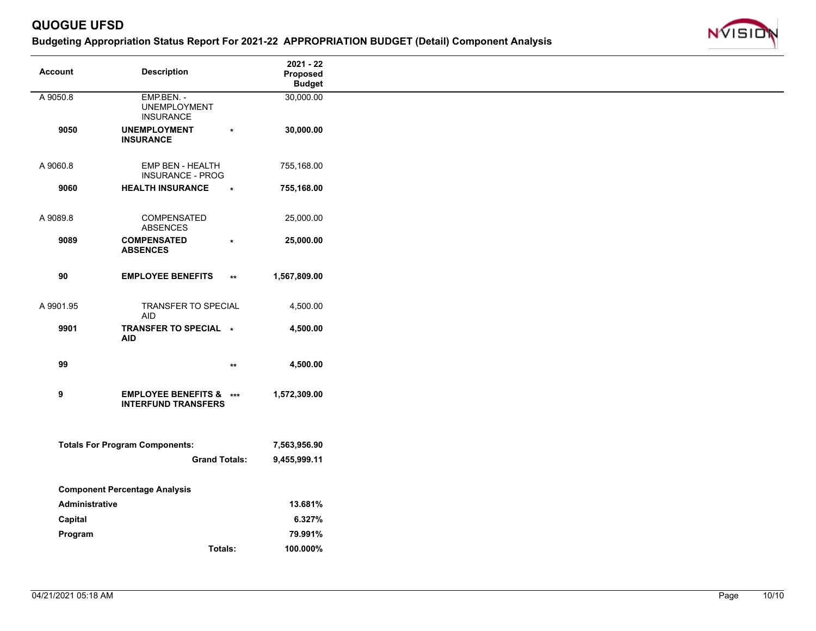

| <b>Account</b> | <b>Description</b>                       | $2021 - 22$               |
|----------------|------------------------------------------|---------------------------|
|                |                                          | Proposed<br><b>Budget</b> |
| A 9050.8       | EMP.BEN. -                               | 30,000.00                 |
|                | <b>UNEMPLOYMENT</b>                      |                           |
| 9050           | <b>INSURANCE</b><br><b>UNEMPLOYMENT</b>  | 30,000.00                 |
|                | $\star$<br><b>INSURANCE</b>              |                           |
|                |                                          |                           |
| A 9060.8       | EMP BEN - HEALTH                         | 755,168.00                |
|                | <b>INSURANCE - PROG</b>                  |                           |
| 9060           | <b>HEALTH INSURANCE</b><br>$\star$       | 755,168.00                |
|                |                                          |                           |
| A 9089.8       | COMPENSATED<br><b>ABSENCES</b>           | 25,000.00                 |
| 9089           | <b>COMPENSATED</b><br>$\star$            | 25,000.00                 |
|                | <b>ABSENCES</b>                          |                           |
|                |                                          |                           |
| 90             | <b>EMPLOYEE BENEFITS</b><br>$\star\star$ | 1,567,809.00              |
|                |                                          |                           |
| A 9901.95      | TRANSFER TO SPECIAL                      | 4,500.00                  |
|                | <b>AID</b><br>TRANSFER TO SPECIAL *      |                           |
| 9901           | <b>AID</b>                               | 4,500.00                  |
|                |                                          |                           |
| 99             | $^{\star\star}$                          | 4,500.00                  |
|                |                                          |                           |
| 9              | <b>EMPLOYEE BENEFITS &amp; ***</b>       | 1,572,309.00              |
|                | <b>INTERFUND TRANSFERS</b>               |                           |
|                |                                          |                           |
|                |                                          |                           |
|                | <b>Totals For Program Components:</b>    | 7,563,956.90              |
|                | <b>Grand Totals:</b>                     | 9,455,999.11              |
|                |                                          |                           |
|                | <b>Component Percentage Analysis</b>     |                           |
| Administrative |                                          | 13.681%                   |
| Capital        |                                          | 6.327%                    |
| Program        |                                          | 79.991%                   |
|                | Totals:                                  | 100.000%                  |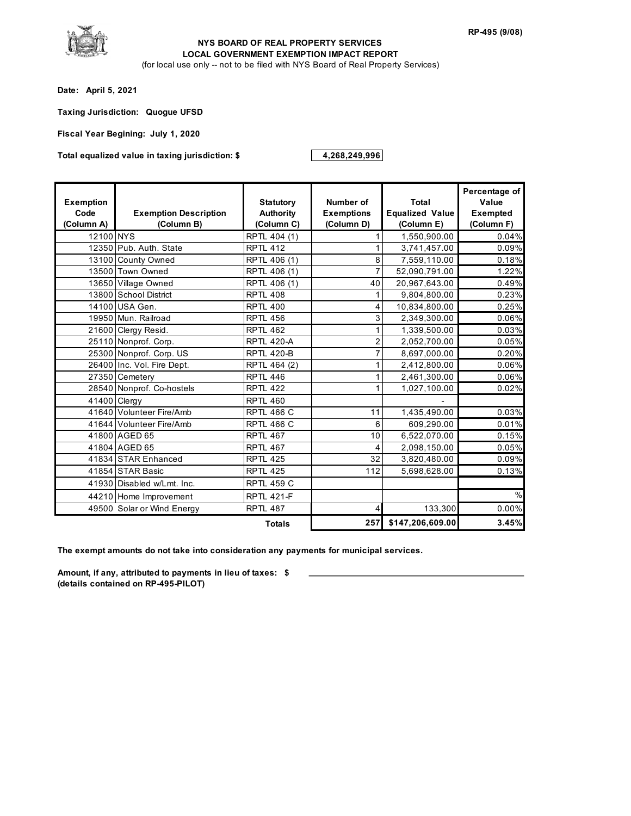

#### (for local use only -- not to be filed with NYS Board of Real Property Services) **NYS BOARD OF REAL PROPERTY SERVICES LOCAL GOVERNMENT EXEMPTION IMPACT REPORT**

**Date: April 5, 2021**

**Taxing Jurisdiction: Quogue UFSD**

**Fiscal Year Begining: July 1, 2020**

**Total equalized value in taxing jurisdiction: \$ 4,268,249,996**

| <b>Exemption</b><br>Code<br>(Column A) | <b>Exemption Description</b><br>(Column B) | <b>Statutory</b><br><b>Authority</b><br>(Column C) | Number of<br><b>Exemptions</b><br>(Column D) | Total<br><b>Equalized Value</b><br>(Column E) | Percentage of<br>Value<br>Exempted<br>(Column F) |
|----------------------------------------|--------------------------------------------|----------------------------------------------------|----------------------------------------------|-----------------------------------------------|--------------------------------------------------|
| 12100 NYS                              |                                            | RPTL 404 (1)                                       |                                              | 1,550,900.00                                  | 0.04%                                            |
|                                        | 12350 Pub. Auth. State                     | <b>RPTL 412</b>                                    | 1                                            | 3,741,457.00                                  | 0.09%                                            |
|                                        | 13100 County Owned                         | RPTL 406 (1)                                       | 8                                            | 7,559,110.00                                  | 0.18%                                            |
|                                        | 13500 Town Owned                           | RPTL 406 (1)                                       |                                              | 52,090,791.00                                 | 1.22%                                            |
|                                        | 13650 Village Owned                        | RPTL 406 (1)                                       | 40                                           | 20,967,643.00                                 | 0.49%                                            |
|                                        | 13800 School District                      | <b>RPTL 408</b>                                    |                                              | 9,804,800.00                                  | 0.23%                                            |
|                                        | 14100 USA Gen.                             | <b>RPTL 400</b>                                    | 4                                            | 10,834,800.00                                 | 0.25%                                            |
|                                        | 19950 Mun. Railroad                        | <b>RPTL 456</b>                                    | 3                                            | 2,349,300.00                                  | 0.06%                                            |
|                                        | 21600 Clergy Resid.                        | <b>RPTL 462</b>                                    |                                              | 1,339,500.00                                  | 0.03%                                            |
|                                        | 25110 Nonprof. Corp.                       | <b>RPTL 420-A</b>                                  | $\overline{2}$                               | 2,052,700.00                                  | 0.05%                                            |
|                                        | 25300 Nonprof. Corp. US                    | <b>RPTL 420-B</b>                                  |                                              | 8,697,000.00                                  | 0.20%                                            |
|                                        | 26400 Inc. Vol. Fire Dept.                 | RPTL 464 (2)                                       |                                              | 2,412,800.00                                  | 0.06%                                            |
|                                        | 27350 Cemetery                             | <b>RPTL 446</b>                                    |                                              | 2,461,300.00                                  | 0.06%                                            |
|                                        | 28540 Nonprof. Co-hostels                  | <b>RPTL 422</b>                                    |                                              | 1,027,100.00                                  | 0.02%                                            |
|                                        | 41400 Clergy                               | <b>RPTL 460</b>                                    |                                              |                                               |                                                  |
|                                        | 41640 Volunteer Fire/Amb                   | <b>RPTL 466 C</b>                                  | 11                                           | 1,435,490.00                                  | 0.03%                                            |
|                                        | 41644 Volunteer Fire/Amb                   | <b>RPTL 466 C</b>                                  | 6                                            | 609,290.00                                    | 0.01%                                            |
|                                        | 41800 AGED 65                              | <b>RPTL 467</b>                                    | 10                                           | 6,522,070.00                                  | 0.15%                                            |
|                                        | 41804 AGED 65                              | <b>RPTL 467</b>                                    | 4                                            | 2,098,150.00                                  | 0.05%                                            |
|                                        | 41834 STAR Enhanced                        | <b>RPTL 425</b>                                    | 32                                           | 3,820,480.00                                  | 0.09%                                            |
|                                        | 41854 STAR Basic                           | <b>RPTL 425</b>                                    | 112                                          | 5,698,628.00                                  | 0.13%                                            |
|                                        | 41930 Disabled w/Lmt. Inc.                 | <b>RPTL 459 C</b>                                  |                                              |                                               |                                                  |
|                                        | 44210 Home Improvement                     | <b>RPTL 421-F</b>                                  |                                              |                                               | %                                                |
|                                        | 49500 Solar or Wind Energy                 | <b>RPTL 487</b>                                    | 4                                            | 133,300                                       | 0.00%                                            |
|                                        |                                            | <b>Totals</b>                                      | 257                                          | \$147,206,609.00                              | 3.45%                                            |

**The exempt amounts do not take into consideration any payments for municipal services.**

**Amount, if any, attributed to payments in lieu of taxes: \$ (details contained on RP-495-PILOT)**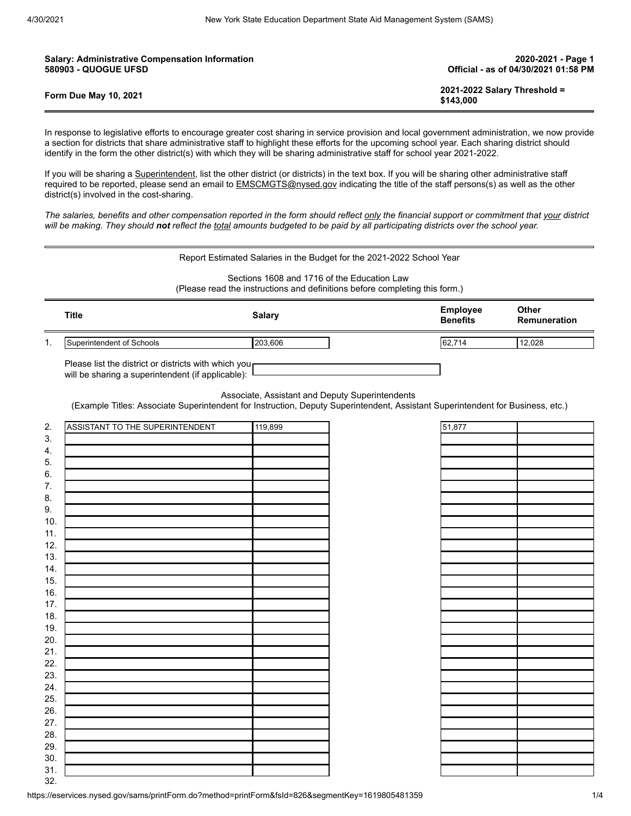| <b>Salary: Administrative Compensation Information</b> | 2020-2021 - Page 1                        |
|--------------------------------------------------------|-------------------------------------------|
| <b>580903 - QUOGUE UFSD</b>                            | Official - as of 04/30/2021 01:58 PM      |
| <b>Form Due May 10, 2021</b>                           | 2021-2022 Salary Threshold =<br>\$143.000 |

In response to legislative efforts to encourage greater cost sharing in service provision and local government administration, we now provide a section for districts that share administrative staff to highlight these efforts for the upcoming school year. Each sharing district should identify in the form the other district(s) with which they will be sharing administrative staff for school year 2021-2022.

If you will be sharing a Superintendent, list the other district (or districts) in the text box. If you will be sharing other administrative staff required to be reported, please send an email to **EMSCMGTS@nysed.gov** indicating the title of the staff persons(s) as well as the other district(s) involved in the cost-sharing.

*The salaries, benefits and other compensation reported in the form should reflect only the financial support or commitment that your district will be making. They should not reflect the total amounts budgeted to be paid by all participating districts over the school year.*

| Report Estimated Salaries in the Budget for the 2021-2022 School Year |  |  |  |  |
|-----------------------------------------------------------------------|--|--|--|--|
|                                                                       |  |  |  |  |

Sections 1608 and 1716 of the Education Law (Please read the instructions and definitions before completing this form.)

|     | Title                     | Salary  | <b>Employee</b><br><b>Benefits</b> | Other<br>Remuneration |
|-----|---------------------------|---------|------------------------------------|-----------------------|
| . . | Superintendent of Schools | 203.606 | 62,714                             | 12.028                |

Please list the district or districts with which you will be sharing a superintendent (if applicable):

Associate, Assistant and Deputy Superintendents

(Example Titles: Associate Superintendent for Instruction, Deputy Superintendent, Assistant Superintendent for Business, etc.)

| 2.      | ASSISTANT TO THE SUPERINTENDENT | $\sqrt{119,899}$ |  |
|---------|---------------------------------|------------------|--|
| 3.      |                                 |                  |  |
| 4.      |                                 |                  |  |
| 5.      |                                 |                  |  |
| $6. \,$ |                                 |                  |  |
| 7.      |                                 |                  |  |
| 8.      |                                 |                  |  |
| 9.      |                                 |                  |  |
| 10.     |                                 |                  |  |
| 11.     |                                 |                  |  |
| 12.     |                                 |                  |  |
| 13.     |                                 |                  |  |
| 14.     |                                 |                  |  |
| 15.     |                                 |                  |  |
| 16.     |                                 |                  |  |
| 17.     |                                 |                  |  |
| 18.     |                                 |                  |  |
| 19.     |                                 |                  |  |
| 20.     |                                 |                  |  |
| 21.     |                                 |                  |  |
| 22.     |                                 |                  |  |
| 23.     |                                 |                  |  |
| 24.     |                                 |                  |  |
| 25.     |                                 |                  |  |
| 26.     |                                 |                  |  |
| 27.     |                                 |                  |  |
| 28.     |                                 |                  |  |
| 29.     |                                 |                  |  |
| 30.     |                                 |                  |  |
| 31.     |                                 |                  |  |
| 32      |                                 |                  |  |

| 51,877 |  |
|--------|--|
|        |  |
|        |  |
|        |  |
|        |  |
|        |  |
|        |  |
|        |  |
|        |  |
|        |  |
|        |  |
|        |  |
|        |  |
|        |  |
|        |  |
|        |  |
|        |  |
|        |  |
|        |  |
|        |  |
|        |  |
|        |  |
|        |  |
|        |  |
|        |  |
|        |  |
|        |  |
|        |  |
|        |  |
|        |  |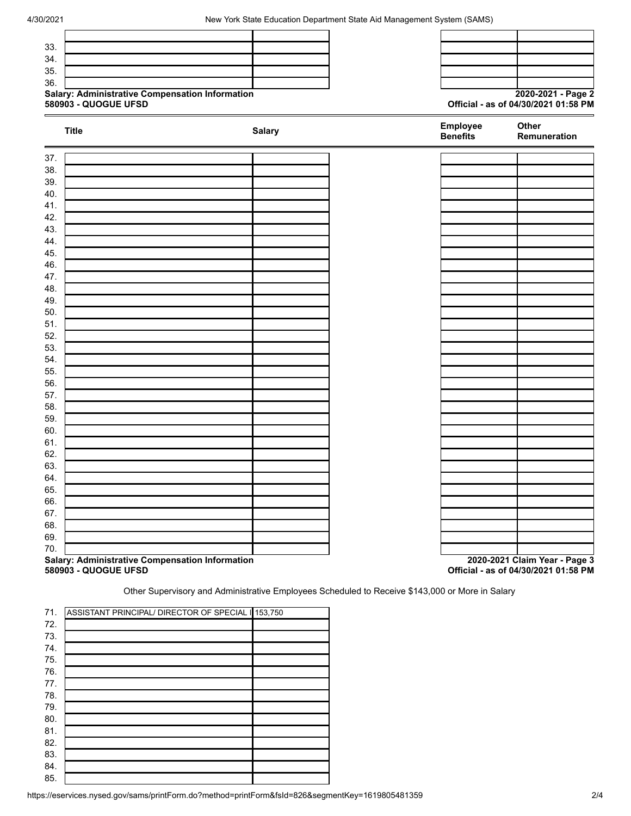



| <b>Title</b>                                                            | <b>Salary</b> | <b>Benefits</b> | Employee | Other<br>Remuneration                                                 |
|-------------------------------------------------------------------------|---------------|-----------------|----------|-----------------------------------------------------------------------|
| ▬<br>37.                                                                |               |                 |          |                                                                       |
| 38.                                                                     |               |                 |          |                                                                       |
| 39.                                                                     |               |                 |          |                                                                       |
| 40.                                                                     |               |                 |          |                                                                       |
| 41.                                                                     |               |                 |          |                                                                       |
| 42.                                                                     |               |                 |          |                                                                       |
| 43.                                                                     |               |                 |          |                                                                       |
| 44.                                                                     |               |                 |          |                                                                       |
| 45.                                                                     |               |                 |          |                                                                       |
| 46.                                                                     |               |                 |          |                                                                       |
| 47.                                                                     |               |                 |          |                                                                       |
| 48.                                                                     |               |                 |          |                                                                       |
| 49.                                                                     |               |                 |          |                                                                       |
| 50.                                                                     |               |                 |          |                                                                       |
| 51.                                                                     |               |                 |          |                                                                       |
| 52.                                                                     |               |                 |          |                                                                       |
| 53.                                                                     |               |                 |          |                                                                       |
| 54.                                                                     |               |                 |          |                                                                       |
| 55.                                                                     |               |                 |          |                                                                       |
| 56.                                                                     |               |                 |          |                                                                       |
| 57.                                                                     |               |                 |          |                                                                       |
| 58.                                                                     |               |                 |          |                                                                       |
| 59.                                                                     |               |                 |          |                                                                       |
| 60.                                                                     |               |                 |          |                                                                       |
| 61.                                                                     |               |                 |          |                                                                       |
| 62.                                                                     |               |                 |          |                                                                       |
| 63.                                                                     |               |                 |          |                                                                       |
| 64.                                                                     |               |                 |          |                                                                       |
| 65.                                                                     |               |                 |          |                                                                       |
| 66.                                                                     |               |                 |          |                                                                       |
| 67.                                                                     |               |                 |          |                                                                       |
| 68.                                                                     |               |                 |          |                                                                       |
| 69.                                                                     |               |                 |          |                                                                       |
| 70.                                                                     |               |                 |          |                                                                       |
| Salary: Administrative Compensation Information<br>580903 - QUOGUE UFSD |               |                 |          | 2020-2021 Claim Year - Page 3<br>Official - as of 04/30/2021 01:58 PM |

Other Supervisory and Administrative Employees Scheduled to Receive \$143,000 or More in Salary

| 71. | ASSISTANT PRINCIPAL/ DIRECTOR OF SPECIAL 153,750 |  |
|-----|--------------------------------------------------|--|
| 72. |                                                  |  |
| 73. |                                                  |  |
| 74. |                                                  |  |
| 75. |                                                  |  |
| 76. |                                                  |  |
| 77. |                                                  |  |
| 78. |                                                  |  |
| 79. |                                                  |  |
| 80. |                                                  |  |
| 81. |                                                  |  |
| 82. |                                                  |  |
| 83. |                                                  |  |
| 84. |                                                  |  |
| 85. |                                                  |  |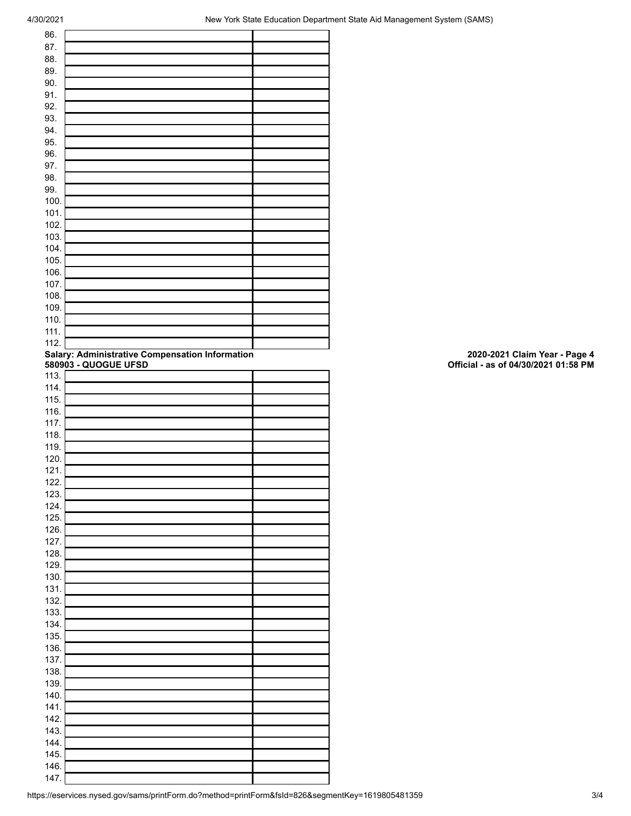| 86.          |                                                                         |                                                                       |
|--------------|-------------------------------------------------------------------------|-----------------------------------------------------------------------|
| 87.          |                                                                         |                                                                       |
| 88.          |                                                                         |                                                                       |
| 89.          |                                                                         |                                                                       |
| 90.          |                                                                         |                                                                       |
| 91.          |                                                                         |                                                                       |
| 92.<br>93.   |                                                                         |                                                                       |
| 94.          |                                                                         |                                                                       |
| 95.          |                                                                         |                                                                       |
| 96.          |                                                                         |                                                                       |
| 97.          |                                                                         |                                                                       |
| 98.          |                                                                         |                                                                       |
| 99.          |                                                                         |                                                                       |
| 100.         |                                                                         |                                                                       |
| 101.         |                                                                         |                                                                       |
| 102.         |                                                                         |                                                                       |
| 103.         |                                                                         |                                                                       |
| 104.         |                                                                         |                                                                       |
| 105.         |                                                                         |                                                                       |
| 106.         |                                                                         |                                                                       |
| 107.<br>108. |                                                                         |                                                                       |
| 109.         |                                                                         |                                                                       |
| 110.         |                                                                         |                                                                       |
| 111.         |                                                                         |                                                                       |
| 112.         |                                                                         |                                                                       |
|              | Salary: Administrative Compensation Information<br>580903 - QUOGUE UFSD | 2020-2021 Claim Year - Page 4<br>Official - as of 04/30/2021 01:58 PM |
|              |                                                                         |                                                                       |
| 113.         |                                                                         |                                                                       |
| 114.<br>115. |                                                                         |                                                                       |
| 116.         |                                                                         |                                                                       |
| 117.         |                                                                         |                                                                       |
| 118.         |                                                                         |                                                                       |
|              |                                                                         |                                                                       |
|              |                                                                         |                                                                       |
| 119.<br>120. |                                                                         |                                                                       |
| 121.         |                                                                         |                                                                       |
| 122.         |                                                                         |                                                                       |
| 123.         |                                                                         |                                                                       |
| 124.         |                                                                         |                                                                       |
| 125.         |                                                                         |                                                                       |
| 126.         |                                                                         |                                                                       |
| 127.         |                                                                         |                                                                       |
| 128.         |                                                                         |                                                                       |
| 129.         |                                                                         |                                                                       |
| 130.<br>131. |                                                                         |                                                                       |
| 132.         |                                                                         |                                                                       |
| 133.         |                                                                         |                                                                       |
| 134.         |                                                                         |                                                                       |
| 135.         |                                                                         |                                                                       |
| 136.         |                                                                         |                                                                       |
| 137.         |                                                                         |                                                                       |
| 138.         |                                                                         |                                                                       |
| 139.         |                                                                         |                                                                       |
| 140.         |                                                                         |                                                                       |
| 141.         |                                                                         |                                                                       |
| 142.         |                                                                         |                                                                       |
| 143.<br>144. |                                                                         |                                                                       |
| 145.         |                                                                         |                                                                       |
| 146.<br>147. |                                                                         |                                                                       |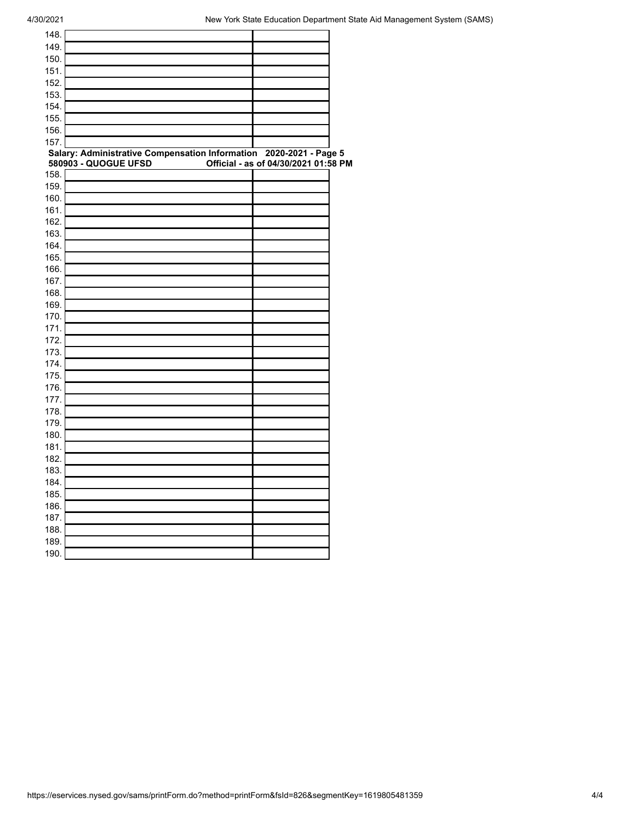| 148.         |                                                                    |                                      |  |
|--------------|--------------------------------------------------------------------|--------------------------------------|--|
| 149.         |                                                                    |                                      |  |
| 150.         |                                                                    |                                      |  |
| 151.         |                                                                    |                                      |  |
| 152.         |                                                                    |                                      |  |
| 153.         |                                                                    |                                      |  |
| 154.         |                                                                    |                                      |  |
| 155.         |                                                                    |                                      |  |
| 156.         |                                                                    |                                      |  |
| 157.         |                                                                    |                                      |  |
|              | Salary: Administrative Compensation Information 2020-2021 - Page 5 |                                      |  |
|              | 580903 - QUOGUE UFSD                                               | Official - as of 04/30/2021 01:58 PM |  |
| 158.         |                                                                    |                                      |  |
| 159.         |                                                                    |                                      |  |
| 160.         |                                                                    |                                      |  |
| 161.         |                                                                    |                                      |  |
| 162.         |                                                                    |                                      |  |
| 163.         |                                                                    |                                      |  |
| 164.         |                                                                    |                                      |  |
| 165.         |                                                                    |                                      |  |
| 166.         |                                                                    |                                      |  |
| 167.         |                                                                    |                                      |  |
| 168.         |                                                                    |                                      |  |
| 169.         |                                                                    |                                      |  |
| 170.         |                                                                    |                                      |  |
| 171.         |                                                                    |                                      |  |
| 172.         |                                                                    |                                      |  |
| 173.<br>174. |                                                                    |                                      |  |
| 175.         |                                                                    |                                      |  |
| 176.         |                                                                    |                                      |  |
| 177.         |                                                                    |                                      |  |
| 178.         |                                                                    |                                      |  |
| 179.         |                                                                    |                                      |  |
| 180.         |                                                                    |                                      |  |
| 181.         |                                                                    |                                      |  |
| 182.         |                                                                    |                                      |  |
| 183.         |                                                                    |                                      |  |
| 184.         |                                                                    |                                      |  |
| 185.         |                                                                    |                                      |  |
| 186.         |                                                                    |                                      |  |
| 187.         |                                                                    |                                      |  |
| 188.         |                                                                    |                                      |  |
| 189.         |                                                                    |                                      |  |
| 190.         |                                                                    |                                      |  |
|              |                                                                    |                                      |  |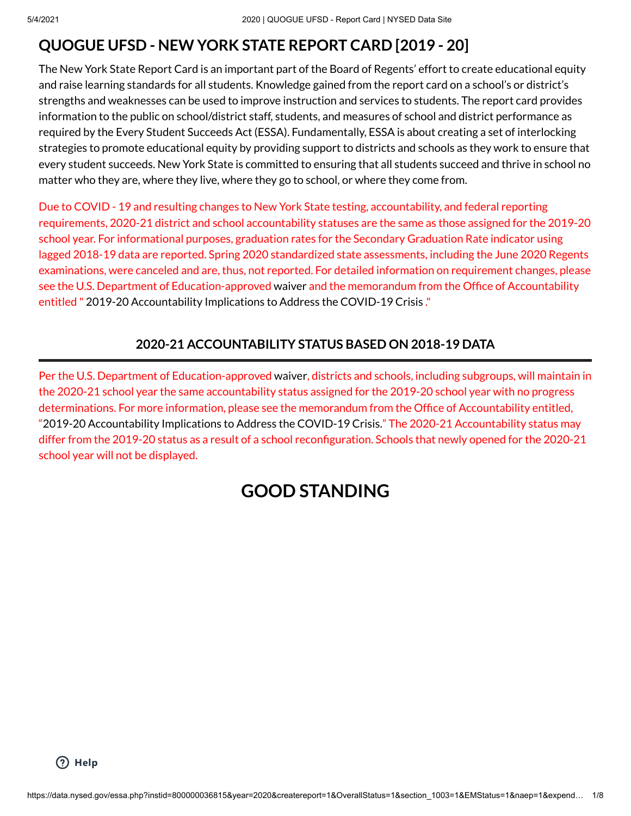# **QUOGUE UFSD - NEW YORK STATE REPORT CARD [2019 - 20]**

The New York State Report Card is an important part of the Board of Regents' effort to create educational equity and raise learning standards for all students. Knowledge gained from the report card on a school's or district's strengths and weaknesses can be used to improve instruction and services to students. The report card provides information to the public on school/district staff, students, and measures of school and district performance as required by the Every Student Succeeds Act (ESSA). Fundamentally, ESSA is about creating a set of interlocking strategies to promote educational equity by providing support to districts and schools as they work to ensure that every student succeeds. New York State is committed to ensuring that all students succeed and thrive in school no matter who they are, where they live, where they go to school, or where they come from.

Due to COVID - 19 and resulting changes to New York State testing, accountability, and federal reporting requirements, 2020-21 district and school accountability statuses are the same as those assigned for the 2019-20 school year. For informational purposes, graduation rates for the Secondary Graduation Rate indicator using lagged 2018-19 data are reported. Spring 2020 standardized state assessments, including the June 2020 Regents examinations, were canceled and are, thus, not reported. For detailed information on requirement changes, please see the U.S. Department of Education-approved [waiver](https://oese.ed.gov/files/2020/04/NY-Covid19-WaiverResponse.pdf) and the memorandum from the Office of Accountability entitled " 2019-20 [Accountability](http://www.nysed.gov/common/nysed/files/programs/coronavirus/nysed-covid-19-memo-accountability-implications-usde-waivers-commissioner-regs.pdf) Implications to Address the COVID-19 Crisis ."

## **2020-21 ACCOUNTABILITY STATUS BASED ON 2018-19 DATA**

Per the U.S. Department of Education-approved [waiver,](https://oese.ed.gov/files/2020/04/NY-Covid19-WaiverResponse.pdf) districts and schools, including subgroups, will maintain in the 2020-21 school year the same accountability status assigned for the 2019-20 school year with no progress determinations. For more information, please see the memorandum from the Office of Accountability entitled, "2019-20 [Accountability](http://www.nysed.gov/common/nysed/files/programs/coronavirus/nysed-covid-19-memo-accountability-implications-usde-waivers-commissioner-regs.pdf) Implications to Address the COVID-19 Crisis." The 2020-21 Accountability status may differ from the 2019-20 status as a result of a school reconfiguration. Schools that newly opened for the 2020-21 school year will not be displayed.

# **GOOD STANDING**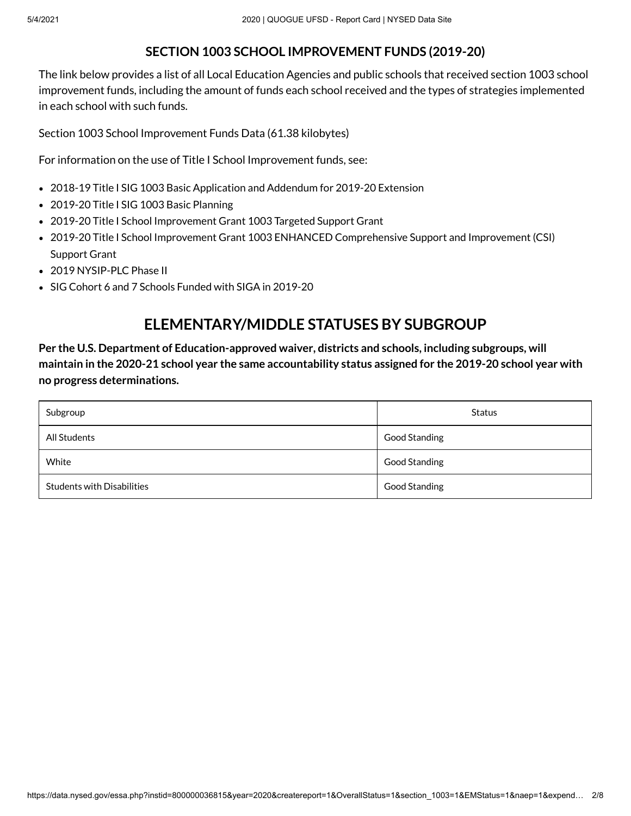#### **SECTION 1003 SCHOOL IMPROVEMENT FUNDS (2019-20)**

The link below provides a list of all Local Education Agencies and public schools that received section 1003 school improvement funds, including the amount of funds each school received and the types of strategies implemented in each school with such funds.

Section 1003 School [Improvement](https://data.nysed.gov/files/essa/19-20/1003.xlsx) Funds Data (61.38 kilobytes)

For information on the use of Title I School Improvement funds, see:

- 2018-19 Title I SIG 1003 [Basic Application](http://www.p12.nysed.gov/funding/2018-19-title-1-sig-1003-basic/home.html) and Addendum for 2019-20 Extension
- 2019-20 Title I SIG 1003 [Basic Planning](http://www.p12.nysed.gov/funding/2019-20-title-1-sig-1003-basic-planning/home.html)
- 2019-20 Title I School Improvement Grant 1003 [Targeted Support](http://www.p12.nysed.gov/funding/2019-20-title-1-sig-1003-targeted-support/home.html) Grant
- 2019-20 Title I School Improvement Grant 1003 ENHANCED [Comprehensive](http://www.p12.nysed.gov/funding/currentapps.html#sig-csi) Support and Improvement (CSI) Support Grant
- 2019 [NYSIP-PLC](http://www.p12.nysed.gov/funding/2018-title-1-nysip-plc/nysip-phase-ii-rfp.pdf) Phase II
- SIG Cohort 6 and 7 Schools [Funded with](http://www.p12.nysed.gov/oisr/SchoolImprovementGrantsSIG.html) SIGA in 2019-20

## **ELEMENTARY/MIDDLE STATUSES BY SUBGROUP**

**Per the U.S. Department of Education-approved [waiver,](https://oese.ed.gov/files/2020/04/NY-Covid19-WaiverResponse.pdf) districts and schools, including subgroups, will** maintain in the 2020-21 school year the same accountability status assigned for the 2019-20 school year with **no progress determinations.**

| Subgroup                          | Status        |
|-----------------------------------|---------------|
| All Students                      | Good Standing |
| White                             | Good Standing |
| <b>Students with Disabilities</b> | Good Standing |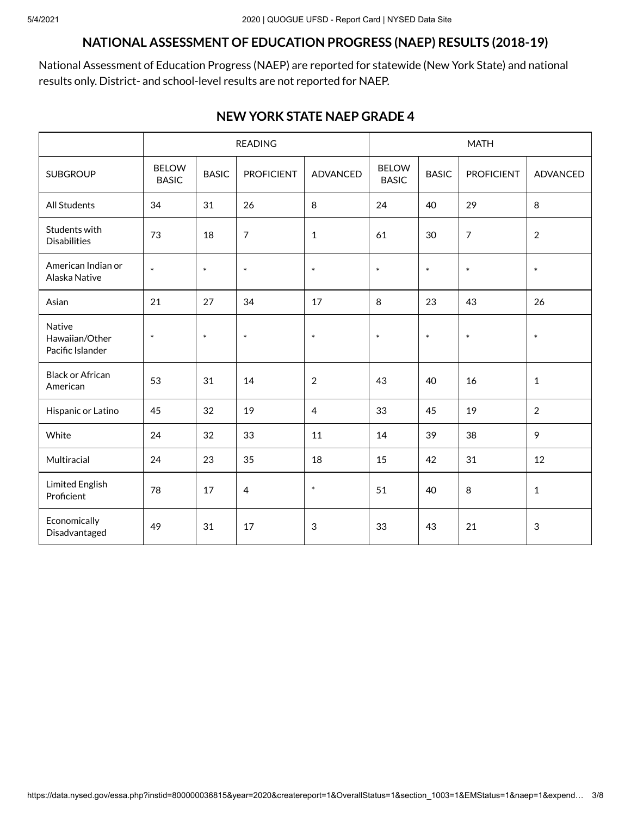#### **NATIONAL ASSESSMENT OF EDUCATION PROGRESS (NAEP) RESULTS (2018-19)**

National Assessment of Education Progress (NAEP) are reported for statewide (New York State) and national results only. District- and school-level results are not reported for NAEP.

#### **NEW YORK STATE NAEP GRADE 4**

|                                              | <b>READING</b>               |              |                   | <b>MATH</b>     |                              |              |                   |                |
|----------------------------------------------|------------------------------|--------------|-------------------|-----------------|------------------------------|--------------|-------------------|----------------|
| <b>SUBGROUP</b>                              | <b>BELOW</b><br><b>BASIC</b> | <b>BASIC</b> | <b>PROFICIENT</b> | <b>ADVANCED</b> | <b>BELOW</b><br><b>BASIC</b> | <b>BASIC</b> | <b>PROFICIENT</b> | ADVANCED       |
| <b>All Students</b>                          | 34                           | 31           | 26                | 8               | 24                           | 40           | 29                | 8              |
| Students with<br><b>Disabilities</b>         | 73                           | 18           | $\overline{7}$    | $\mathbf{1}$    | 61                           | 30           | $\overline{7}$    | $\overline{2}$ |
| American Indian or<br>Alaska Native          | $\ast$                       | $\ast$       | $\ast$            | $\ast$          | $\ast$                       | $\ast$       | $\ast$            | $\ast$         |
| Asian                                        | 21                           | 27           | 34                | 17              | 8                            | 23           | 43                | 26             |
| Native<br>Hawaiian/Other<br>Pacific Islander | $\ast$                       | $\ast$       | $\ast$            | $\ast$          | $\ast$                       | $\ast$       | $\ast$            | $\ast$         |
| <b>Black or African</b><br>American          | 53                           | 31           | 14                | $\overline{2}$  | 43                           | 40           | 16                | $\mathbf{1}$   |
| Hispanic or Latino                           | 45                           | 32           | 19                | $\overline{4}$  | 33                           | 45           | 19                | $\overline{2}$ |
| White                                        | 24                           | 32           | 33                | 11              | 14                           | 39           | 38                | 9              |
| Multiracial                                  | 24                           | 23           | 35                | 18              | 15                           | 42           | 31                | 12             |
| <b>Limited English</b><br>Proficient         | 78                           | 17           | $\overline{4}$    | $\ast$          | 51                           | 40           | 8                 | $\mathbf{1}$   |
| Economically<br>Disadvantaged                | 49                           | 31           | 17                | 3               | 33                           | 43           | 21                | 3              |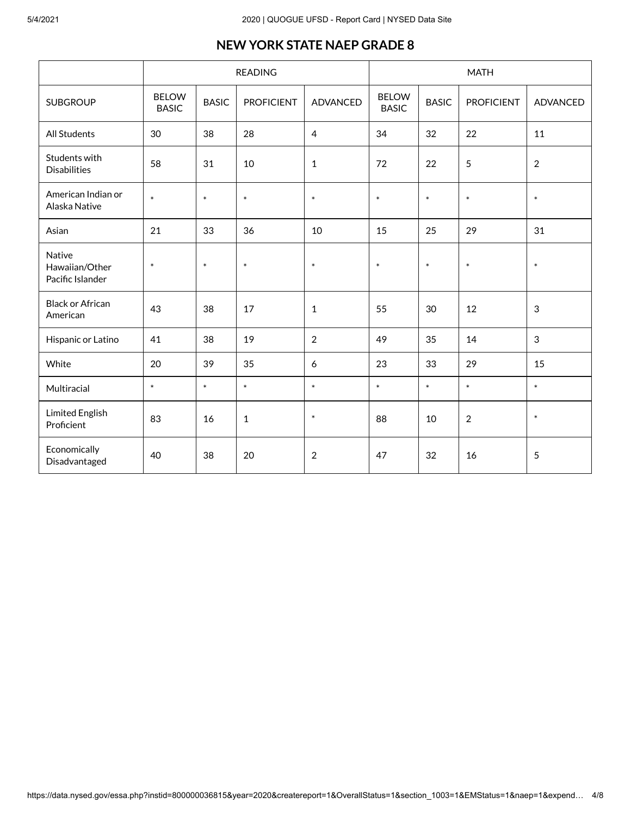#### **NEW YORK STATE NAEP GRADE 8**

|                                              | <b>READING</b>               |              |                   | <b>MATH</b>    |                              |              |                   |                 |
|----------------------------------------------|------------------------------|--------------|-------------------|----------------|------------------------------|--------------|-------------------|-----------------|
| <b>SUBGROUP</b>                              | <b>BELOW</b><br><b>BASIC</b> | <b>BASIC</b> | <b>PROFICIENT</b> | ADVANCED       | <b>BELOW</b><br><b>BASIC</b> | <b>BASIC</b> | <b>PROFICIENT</b> | <b>ADVANCED</b> |
| All Students                                 | 30                           | 38           | 28                | $\overline{4}$ | 34                           | 32           | 22                | 11              |
| Students with<br><b>Disabilities</b>         | 58                           | 31           | 10                | $\mathbf{1}$   | 72                           | 22           | 5                 | $\overline{2}$  |
| American Indian or<br>Alaska Native          | $\ast$                       | $\ast$       | $\ast$            | $\ast$         | $\ast$                       | $\ast$       | $\ast$            | $\ast$          |
| Asian                                        | 21                           | 33           | 36                | 10             | 15                           | 25           | 29                | 31              |
| Native<br>Hawaiian/Other<br>Pacific Islander | $\ast$                       | $\ast$       | $\ast$            | $\ast$         | $\ast$                       | $\ast$       | $\ast$            | $\ast$          |
| <b>Black or African</b><br>American          | 43                           | 38           | 17                | $\mathbf{1}$   | 55                           | 30           | 12                | 3               |
| Hispanic or Latino                           | 41                           | 38           | 19                | $\overline{2}$ | 49                           | 35           | 14                | 3               |
| White                                        | 20                           | 39           | 35                | 6              | 23                           | 33           | 29                | 15              |
| Multiracial                                  | $\ast$                       | $\ast$       | $\ast$            | $\ast$         | $\ast$                       | $\ast$       | $\ast$            | $\ast$          |
| <b>Limited English</b><br>Proficient         | 83                           | 16           | $\mathbf{1}$      | $\ast$         | 88                           | 10           | $\overline{2}$    | $\ast$          |
| Economically<br>Disadvantaged                | 40                           | 38           | 20                | $\overline{2}$ | 47                           | 32           | 16                | 5               |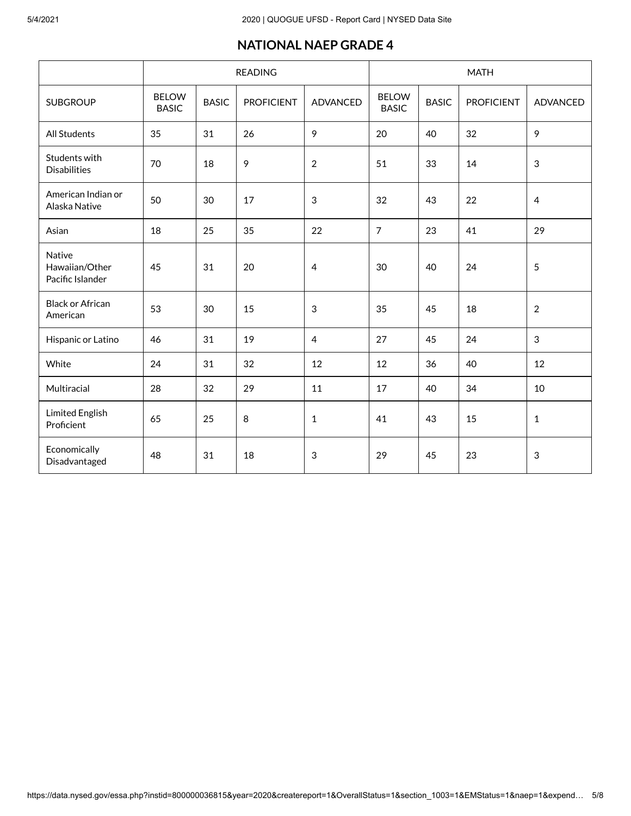#### **NATIONAL NAEP GRADE 4**

|                                              |                              |              | <b>READING</b><br><b>MATH</b> |                |                              |              |                   |                |
|----------------------------------------------|------------------------------|--------------|-------------------------------|----------------|------------------------------|--------------|-------------------|----------------|
| <b>SUBGROUP</b>                              | <b>BELOW</b><br><b>BASIC</b> | <b>BASIC</b> | <b>PROFICIENT</b>             | ADVANCED       | <b>BELOW</b><br><b>BASIC</b> | <b>BASIC</b> | <b>PROFICIENT</b> | ADVANCED       |
| All Students                                 | 35                           | 31           | 26                            | 9              | 20                           | 40           | 32                | 9              |
| Students with<br><b>Disabilities</b>         | 70                           | 18           | 9                             | $\overline{2}$ | 51                           | 33           | 14                | $\sqrt{3}$     |
| American Indian or<br>Alaska Native          | 50                           | 30           | 17                            | $\sqrt{3}$     | 32                           | 43           | 22                | $\overline{4}$ |
| Asian                                        | 18                           | 25           | 35                            | 22             | $\overline{7}$               | 23           | 41                | 29             |
| Native<br>Hawaiian/Other<br>Pacific Islander | 45                           | 31           | 20                            | $\overline{4}$ | 30                           | 40           | 24                | 5              |
| <b>Black or African</b><br>American          | 53                           | 30           | 15                            | $\sqrt{3}$     | 35                           | 45           | 18                | $\overline{2}$ |
| Hispanic or Latino                           | 46                           | 31           | 19                            | $\overline{4}$ | 27                           | 45           | 24                | 3              |
| White                                        | 24                           | 31           | 32                            | 12             | 12                           | 36           | 40                | 12             |
| Multiracial                                  | 28                           | 32           | 29                            | 11             | 17                           | 40           | 34                | 10             |
| <b>Limited English</b><br>Proficient         | 65                           | 25           | 8                             | $\mathbf{1}$   | 41                           | 43           | 15                | $\mathbf{1}$   |
| Economically<br>Disadvantaged                | 48                           | 31           | 18                            | $\sqrt{3}$     | 29                           | 45           | 23                | $\sqrt{3}$     |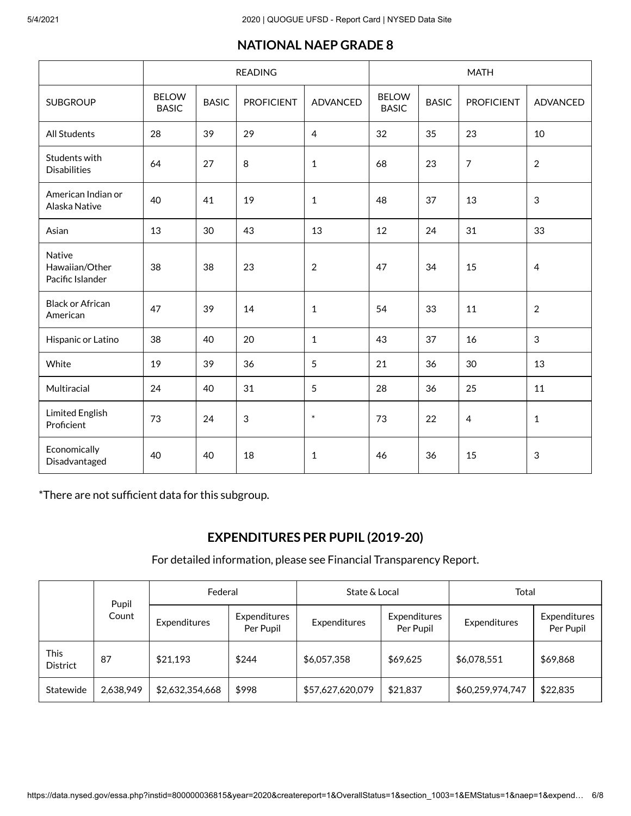## **NATIONAL NAEP GRADE 8**

|                                                     | <b>READING</b>               |              |                   |                 | <b>MATH</b>                  |              |                   |                 |
|-----------------------------------------------------|------------------------------|--------------|-------------------|-----------------|------------------------------|--------------|-------------------|-----------------|
| <b>SUBGROUP</b>                                     | <b>BELOW</b><br><b>BASIC</b> | <b>BASIC</b> | <b>PROFICIENT</b> | <b>ADVANCED</b> | <b>BELOW</b><br><b>BASIC</b> | <b>BASIC</b> | <b>PROFICIENT</b> | <b>ADVANCED</b> |
| <b>All Students</b>                                 | 28                           | 39           | 29                | 4               | 32                           | 35           | 23                | 10              |
| Students with<br><b>Disabilities</b>                | 64                           | 27           | 8                 | $\mathbf{1}$    | 68                           | 23           | $\overline{7}$    | $\sqrt{2}$      |
| American Indian or<br>Alaska Native                 | 40                           | 41           | 19                | $\mathbf{1}$    | 48                           | 37           | 13                | $\sqrt{3}$      |
| Asian                                               | 13                           | 30           | 43                | 13              | 12                           | 24           | 31                | 33              |
| <b>Native</b><br>Hawaiian/Other<br>Pacific Islander | 38                           | 38           | 23                | $\overline{2}$  | 47                           | 34           | 15                | $\overline{4}$  |
| <b>Black or African</b><br>American                 | 47                           | 39           | 14                | $\mathbf{1}$    | 54                           | 33           | 11                | $\overline{2}$  |
| Hispanic or Latino                                  | 38                           | 40           | 20                | $\mathbf{1}$    | 43                           | 37           | 16                | 3               |
| White                                               | 19                           | 39           | 36                | 5               | 21                           | 36           | 30                | 13              |
| Multiracial                                         | 24                           | 40           | 31                | 5               | 28                           | 36           | 25                | 11              |
| <b>Limited English</b><br>Proficient                | 73                           | 24           | $\sqrt{3}$        | $\ast$          | 73                           | 22           | 4                 | $\mathbf{1}$    |
| Economically<br>Disadvantaged                       | 40                           | 40           | 18                | $\mathbf{1}$    | 46                           | 36           | 15                | $\sqrt{3}$      |

\*There are not sufficient data for this subgroup.

## **EXPENDITURES PER PUPIL (2019-20)**

For detailed information, please see Financial [Transparency](https://data.nysed.gov/expenditures.php?year=2020&instid=800000036815) Report.

|                                | Pupil     | Federal         |                           | State & Local    |                           | Total            |                           |
|--------------------------------|-----------|-----------------|---------------------------|------------------|---------------------------|------------------|---------------------------|
|                                | Count     | Expenditures    | Expenditures<br>Per Pupil | Expenditures     | Expenditures<br>Per Pupil | Expenditures     | Expenditures<br>Per Pupil |
| <b>This</b><br><b>District</b> | 87        | \$21,193        | \$244                     | \$6,057,358      | \$69,625                  | \$6,078,551      | \$69,868                  |
| Statewide                      | 2,638,949 | \$2,632,354,668 | \$998                     | \$57,627,620,079 | \$21,837                  | \$60,259,974,747 | \$22,835                  |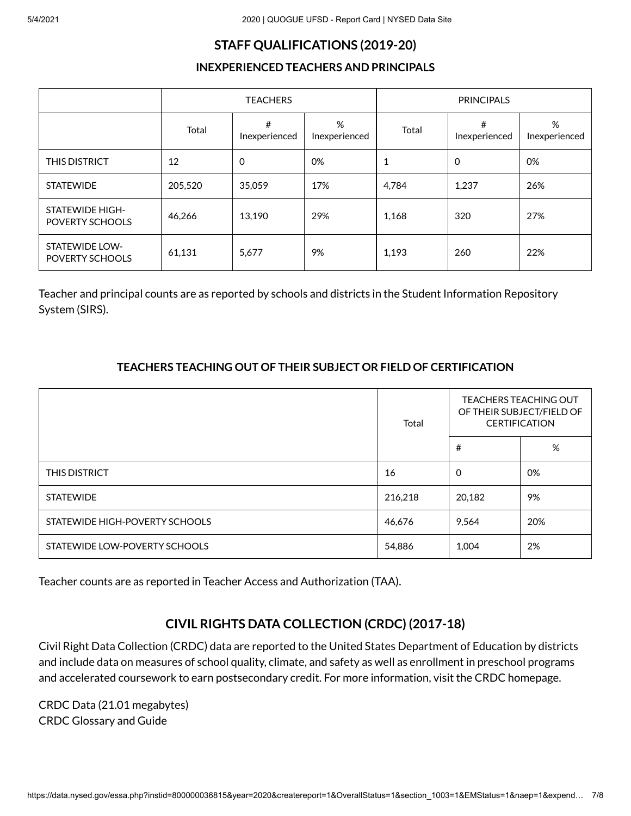#### **STAFF QUALIFICATIONS (2019-20)**

#### **INEXPERIENCED TEACHERS AND PRINCIPALS**

|                                           |         | <b>TEACHERS</b>    |                    | <b>PRINCIPALS</b> |                    |                    |  |
|-------------------------------------------|---------|--------------------|--------------------|-------------------|--------------------|--------------------|--|
|                                           | Total   | #<br>Inexperienced | %<br>Inexperienced | Total             | #<br>Inexperienced | %<br>Inexperienced |  |
| THIS DISTRICT                             | 12      | 0                  | 0%                 |                   | $\mathbf 0$        | 0%                 |  |
| <b>STATEWIDE</b>                          | 205,520 | 35,059             | 17%                | 4,784             | 1,237              | 26%                |  |
| <b>STATEWIDE HIGH-</b><br>POVERTY SCHOOLS | 46,266  | 13.190             | 29%                | 1,168             | 320                | 27%                |  |
| <b>STATEWIDE LOW-</b><br>POVERTY SCHOOLS  | 61,131  | 5,677              | 9%                 | 1,193             | 260                | 22%                |  |

Teacher and principal counts are as reported by schools and districts in the Student Information Repository System (SIRS).

#### **TEACHERS TEACHING OUT OF THEIR SUBJECT OR FIELD OF CERTIFICATION**

|                                | Total   | <b>TEACHERS TEACHING OUT</b><br>OF THEIR SUBJECT/FIELD OF<br><b>CERTIFICATION</b> |     |
|--------------------------------|---------|-----------------------------------------------------------------------------------|-----|
|                                |         | #                                                                                 | %   |
| <b>THIS DISTRICT</b>           | 16      | $\Omega$                                                                          | 0%  |
| <b>STATEWIDE</b>               | 216,218 | 20,182                                                                            | 9%  |
| STATEWIDE HIGH-POVERTY SCHOOLS | 46,676  | 9,564                                                                             | 20% |
| STATEWIDE LOW-POVERTY SCHOOLS  | 54,886  | 1,004                                                                             | 2%  |

Teacher counts are as reported in Teacher Access and Authorization (TAA).

## **CIVIL RIGHTS DATA COLLECTION (CRDC) (2017-18)**

Civil Right Data Collection (CRDC) data are reported to the United States Department of Education by districts and include data on measures of school quality, climate, and safety as well as enrollment in preschool programs and accelerated coursework to earn postsecondary credit. For more information, visit the CRDC [homepage](https://ocrdata.ed.gov/).

[CRDC](https://data.nysed.gov/files/essa/19-20/crdc.xlsx) Data (21.01 megabytes) CRDC [Glossary](https://data.nysed.gov/files/essa/19-20/crdcGlossaryAndGuide.pdf) and Guide